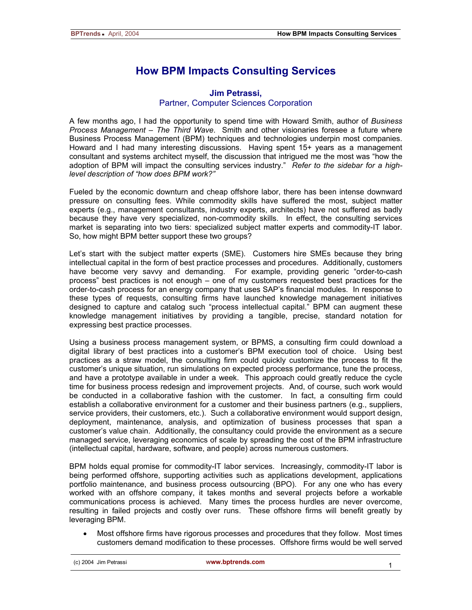## **How BPM Impacts Consulting Services**

## **Jim Petrassi,**  Partner, Computer Sciences Corporation

A few months ago, I had the opportunity to spend time with Howard Smith, author of *Business Process Management – The Third Wave*. Smith and other visionaries foresee a future where Business Process Management (BPM) techniques and technologies underpin most companies. Howard and I had many interesting discussions. Having spent 15+ years as a management consultant and systems architect myself, the discussion that intrigued me the most was "how the adoption of BPM will impact the consulting services industry." *Refer to the sidebar for a highlevel description of "how does BPM work?"*

Fueled by the economic downturn and cheap offshore labor, there has been intense downward pressure on consulting fees. While commodity skills have suffered the most, subject matter experts (e.g., management consultants, industry experts, architects) have not suffered as badly because they have very specialized, non-commodity skills. In effect, the consulting services market is separating into two tiers: specialized subject matter experts and commodity-IT labor. So, how might BPM better support these two groups?

Let's start with the subject matter experts (SME). Customers hire SMEs because they bring intellectual capital in the form of best practice processes and procedures. Additionally, customers have become very savvy and demanding. For example, providing generic "order-to-cash process" best practices is not enough – one of my customers requested best practices for the order-to-cash process for an energy company that uses SAP's financial modules. In response to these types of requests, consulting firms have launched knowledge management initiatives designed to capture and catalog such "process intellectual capital." BPM can augment these knowledge management initiatives by providing a tangible, precise, standard notation for expressing best practice processes.

Using a business process management system, or BPMS, a consulting firm could download a digital library of best practices into a customer's BPM execution tool of choice. Using best practices as a straw model, the consulting firm could quickly customize the process to fit the customer's unique situation, run simulations on expected process performance, tune the process, and have a prototype available in under a week. This approach could greatly reduce the cycle time for business process redesign and improvement projects. And, of course, such work would be conducted in a collaborative fashion with the customer. In fact, a consulting firm could establish a collaborative environment for a customer and their business partners (e.g., suppliers, service providers, their customers, etc.). Such a collaborative environment would support design, deployment, maintenance, analysis, and optimization of business processes that span a customer's value chain. Additionally, the consultancy could provide the environment as a secure managed service, leveraging economics of scale by spreading the cost of the BPM infrastructure (intellectual capital, hardware, software, and people) across numerous customers.

BPM holds equal promise for commodity-IT labor services. Increasingly, commodity-IT labor is being performed offshore, supporting activities such as applications development, applications portfolio maintenance, and business process outsourcing (BPO). For any one who has every worked with an offshore company, it takes months and several projects before a workable communications process is achieved. Many times the process hurdles are never overcome, resulting in failed projects and costly over runs. These offshore firms will benefit greatly by leveraging BPM.

• Most offshore firms have rigorous processes and procedures that they follow. Most times customers demand modification to these processes. Offshore firms would be well served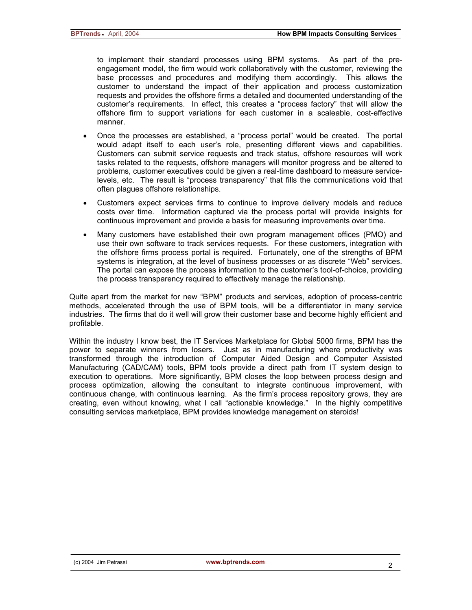to implement their standard processes using BPM systems. As part of the preengagement model, the firm would work collaboratively with the customer, reviewing the base processes and procedures and modifying them accordingly. This allows the customer to understand the impact of their application and process customization requests and provides the offshore firms a detailed and documented understanding of the customer's requirements. In effect, this creates a "process factory" that will allow the offshore firm to support variations for each customer in a scaleable, cost-effective manner.

- Once the processes are established, a "process portal" would be created. The portal would adapt itself to each user's role, presenting different views and capabilities. Customers can submit service requests and track status, offshore resources will work tasks related to the requests, offshore managers will monitor progress and be altered to problems, customer executives could be given a real-time dashboard to measure servicelevels, etc. The result is "process transparency" that fills the communications void that often plagues offshore relationships.
- Customers expect services firms to continue to improve delivery models and reduce costs over time. Information captured via the process portal will provide insights for continuous improvement and provide a basis for measuring improvements over time.
- Many customers have established their own program management offices (PMO) and use their own software to track services requests. For these customers, integration with the offshore firms process portal is required. Fortunately, one of the strengths of BPM systems is integration, at the level of business processes or as discrete "Web" services. The portal can expose the process information to the customer's tool-of-choice, providing the process transparency required to effectively manage the relationship.

Quite apart from the market for new "BPM" products and services, adoption of process-centric methods, accelerated through the use of BPM tools, will be a differentiator in many service industries. The firms that do it well will grow their customer base and become highly efficient and profitable.

Within the industry I know best, the IT Services Marketplace for Global 5000 firms, BPM has the power to separate winners from losers. Just as in manufacturing where productivity was transformed through the introduction of Computer Aided Design and Computer Assisted Manufacturing (CAD/CAM) tools, BPM tools provide a direct path from IT system design to execution to operations. More significantly, BPM closes the loop between process design and process optimization, allowing the consultant to integrate continuous improvement, with continuous change, with continuous learning. As the firm's process repository grows, they are creating, even without knowing, what I call "actionable knowledge." In the highly competitive consulting services marketplace, BPM provides knowledge management on steroids!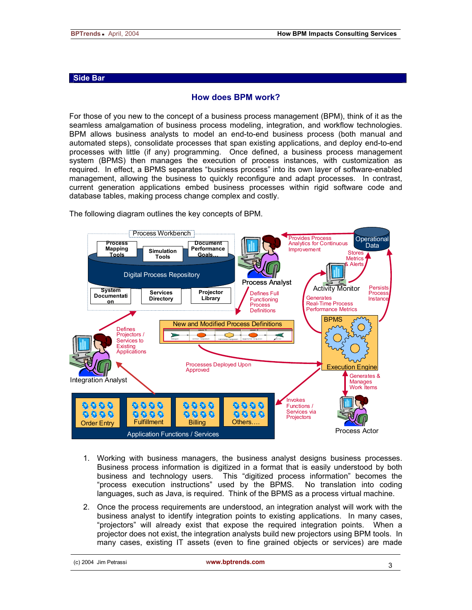## **Side Bar**

## **How does BPM work?**

For those of you new to the concept of a business process management (BPM), think of it as the seamless amalgamation of business process modeling, integration, and workflow technologies. BPM allows business analysts to model an end-to-end business process (both manual and automated steps), consolidate processes that span existing applications, and deploy end-to-end processes with little (if any) programming. Once defined, a business process management system (BPMS) then manages the execution of process instances, with customization as required. In effect, a BPMS separates "business process" into its own layer of software-enabled management, allowing the business to quickly reconfigure and adapt processes. In contrast, current generation applications embed business processes within rigid software code and database tables, making process change complex and costly.

**Process Workbench** Provides Process **Operational Process Document**  Analytics for Continuous Data **Performance Mapping Tools Simulation**  Improvement **Stores Goals… Tools Metrics** & Alerts Digital Process Repository Process Analyst Persists **Activity Monitor System Services Projector**  Defines Full **Process Documentati** Generates **Directory Library Functioning Instance on** Real-Time Process Process Performance Metrics **Definitions BPMS** New and Modified Process Definitions Defines Projectors / Y سم Services to Existing<br>Applications Processes Deployed Upon **Execution Engine** Approved Generates & Integration Analyst Manages Work Items Invokes 4000 9999 0 O O O 9999 Functions /  $0.000$ 0000  $0.000$  $0.000$ Services via **Projectors** Order Entry Fulfillment Billing **Billing** Billing Process Actor Application Functions / Services

The following diagram outlines the key concepts of BPM.

- 1. Working with business managers, the business analyst designs business processes. Business process information is digitized in a format that is easily understood by both business and technology users. This "digitized process information" becomes the "process execution instructions" used by the BPMS. No translation into coding languages, such as Java, is required. Think of the BPMS as a process virtual machine.
- 2. Once the process requirements are understood, an integration analyst will work with the business analyst to identify integration points to existing applications. In many cases, "projectors" will already exist that expose the required integration points. When a projector does not exist, the integration analysts build new projectors using BPM tools. In many cases, existing IT assets (even to fine grained objects or services) are made